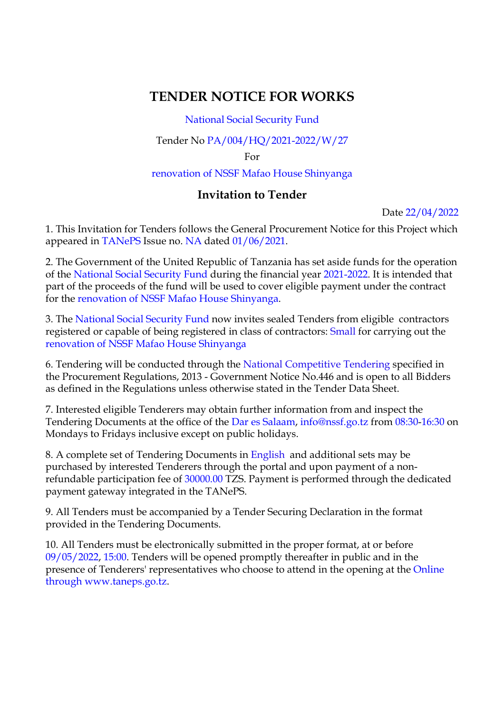## **TENDER NOTICE FOR WORKS**

National Social Security Fund

Tender No PA/004/HQ/2021-2022/W/27

For

renovation of NSSF Mafao House Shinyanga

## **Invitation to Tender**

Date 22/04/2022

1. This Invitation for Tenders follows the General Procurement Notice for this Project which appeared in TANePS Issue no. NA dated 01/06/2021.

2. The Government of the United Republic of Tanzania has set aside funds for the operation of the National Social Security Fund during the financial year 2021-2022. It is intended that part of the proceeds of the fund will be used to cover eligible payment under the contract for the renovation of NSSF Mafao House Shinyanga.

3. The National Social Security Fund now invites sealed Tenders from eligible contractors registered or capable of being registered in class of contractors: Small for carrying out the renovation of NSSF Mafao House Shinyanga

6. Tendering will be conducted through the National Competitive Tendering specified in the Procurement Regulations, 2013 - Government Notice No.446 and is open to all Bidders as defined in the Regulations unless otherwise stated in the Tender Data Sheet.

7. Interested eligible Tenderers may obtain further information from and inspect the Tendering Documents at the office of the Dar es Salaam, info@nssf.go.tz from 08:30-16:30 on Mondays to Fridays inclusive except on public holidays.

8. A complete set of Tendering Documents in English and additional sets may be purchased by interested Tenderers through the portal and upon payment of a nonrefundable participation fee of 30000.00 TZS. Payment is performed through the dedicated payment gateway integrated in the TANePS.

9. All Tenders must be accompanied by a Tender Securing Declaration in the format provided in the Tendering Documents.

10. All Tenders must be electronically submitted in the proper format, at or before 09/05/2022, 15:00. Tenders will be opened promptly thereafter in public and in the presence of Tenderers' representatives who choose to attend in the opening at the Online through www.taneps.go.tz.